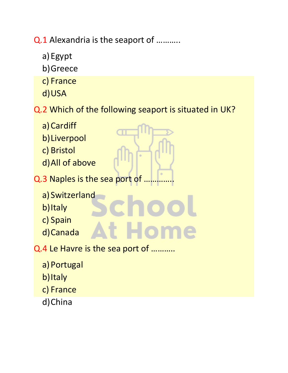Q.1 Alexandria is the seaport of ...........

- a)Egypt
- b)Greece
- c) France
- d)USA
- Q.2 Which of the following seaport is situated in UK?
	- a) Cardiff b)Liverpool
	- c) Bristol
	- d)All of above
- Q.3 Naples is the sea port of ..
	- a) Switzerland
	- b)Italy
	- c) Spain
	- d)Canada
- Q.4 Le Havre is the sea port of ………..
	- a) Portugal
	- b)Italy
	- c) France
	- d)China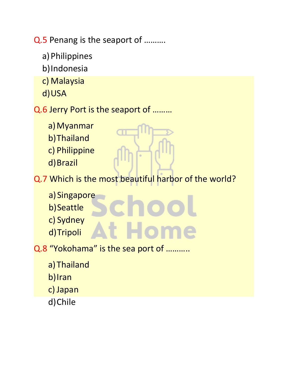Q.5 Penang is the seaport of ……….

- a)Philippines
- b)Indonesia
- c) Malaysia
- d)USA

## Q.6 Jerry Port is the seaport of ………

- a) Myanmar
- b)Thailand
- c) Philippine
- d)Brazil
- Q.7 Which is the most beautiful harbor of the world?
	- a) Singapore
	- b)Seattle
	- c) Sydney
	- d)Tripoli
- Q.8 "Yokohama" is the sea port of ………..
	- a)Thailand
	- b)Iran
	- c) Japan
	- d)Chile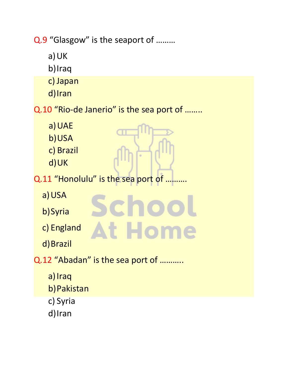Q.9 "Glasgow" is the seaport of ………

- a)UK
- b)Iraq
- c) Japan
- d)Iran

Q.10 "Rio-de Janerio" is the sea port of ........

- a) UAE
- b)USA
- c) Brazil
- d)UK
- Q.11 "Honolulu" is the sea port of ...

Scho

t Home

- a)USA
- b)Syria
- c) England
- d)Brazil
- Q.12 "Abadan" is the sea port of ………..
	- a) Iraq
	- b)Pakistan
	- c) Syria
	- d)Iran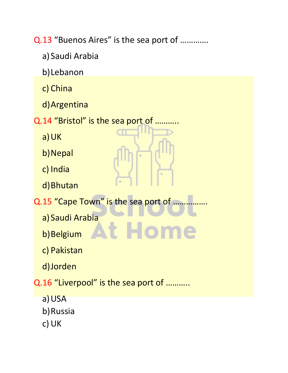Q.13 "Buenos Aires" is the sea port of .............

- a) Saudi Arabia
- b)Lebanon
- c) China
- d)Argentina

Q.14 "Bristol" is the sea port of ......

- a)UK
- b) Nepal
- c) India
- d)Bhutan
- Q.15 "Cape Town" is the sea port of ......

t Ho

- a) Saudi Arabia
- b) Belgium
- c) Pakistan
- d)Jorden

Q.16 "Liverpool" is the sea port of ...........

- a) USA
- b)Russia
- c) UK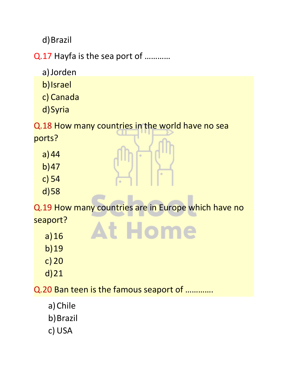d)Brazil

Q.17 Hayfa is the sea port of …………

- a)Jorden
- b)Israel
- c) Canada
- d)Syria

Q.18 How many countries in the world have no sea

ports?

- a)44
- b)47
- c) 54
- d)58

Q.19 How many countries are in Europe which have no seaport? **At Home** 

- a)16
- b)19
- c) 20
- d)21

Q.20 Ban teen is the famous seaport of ………….

- a)Chile
- b)Brazil
- c) USA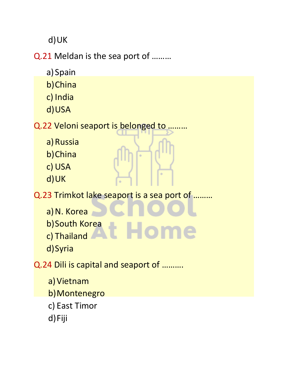d)UK

Q.21 Meldan is the sea port of ………

- a) Spain
- b)China
- c) India
- d)USA

Q.22 Veloni seaport is belonged to ………

- a) Russia
- b)China
- c) USA
- d)UK

Q.23 Trimkot lake seaport is a sea port of ………

- a) N. Korea
- b)South Korea
- c) Thailand
- d)Syria

Q.24 Dili is capital and seaport of ……….

- a) Vietnam
- b)Montenegro
- c) East Timor
- d)Fiji